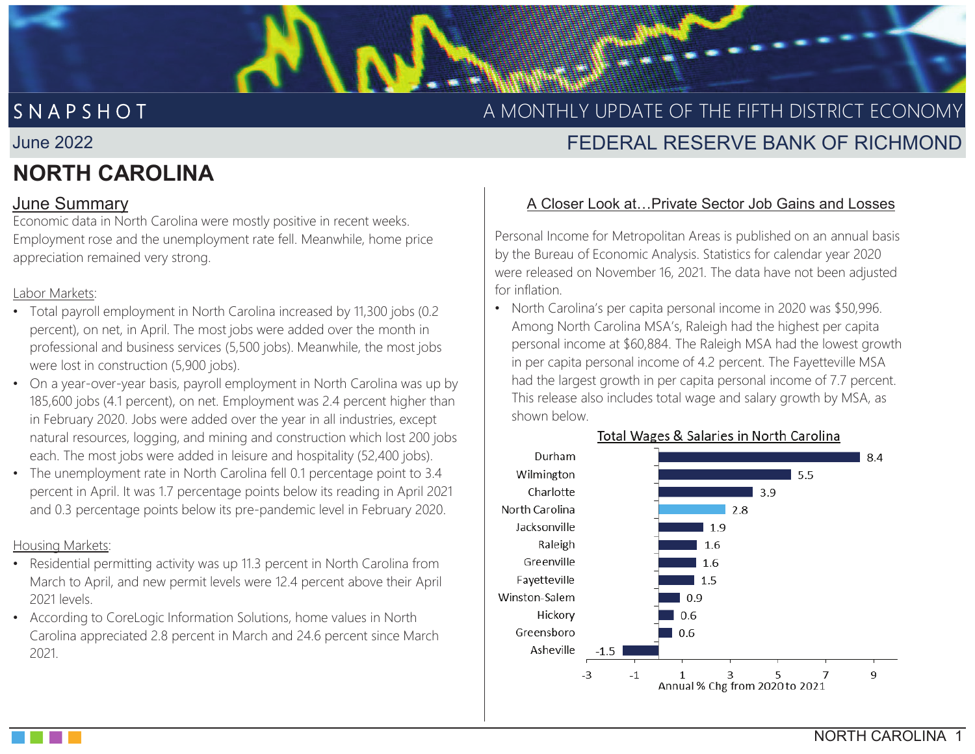# S N A P S H O

# A MONTHLY UPDATE OF THE FIFTH DISTRICT ECONOMY

# FEDERAL RESERVE BANK OF RICHMOND

# **NORTH CAROLINA**

June 2022

Economic data in North Carolina were mostly positive in recent weeks. Employment rose and the unemployment rate fell. Meanwhile, home price appreciation remained very strong.

INTERNAL FR/OFFICIAL USE // FRSONLY

FR/OFFICIAL USE FRSONLY

#### Labor Markets:

- Total payroll employment in North Carolina increased by 11,300 jobs (0.2 percent), on net, in April. The most jobs were added over the month in professional and business services (5,500 jobs). Meanwhile, the most jobs were lost in construction (5,900 jobs).
- On a year-over-year basis, payroll employment in North Carolina was up by 185,600 jobs (4.1 percent), on net. Employment was 2.4 percent higher than in February 2020. Jobs were added over the year in all industries, except natural resources, logging, and mining and construction which lost 200 jobs each. The most jobs were added in leisure and hospitality (52,400 jobs).
- The unemployment rate in North Carolina fell 0.1 percentage point to 3.4 percent in April. It was 1.7 percentage points below its reading in April 2021 and 0.3 percentage points below its pre-pandemic level in February 2020.

#### Housing Markets:

- Residential permitting activity was up 11.3 percent in North Carolina from March to April, and new permit levels were 12.4 percent above their April 2021 levels.
- According to CoreLogic Information Solutions, home values in North Carolina appreciated 2.8 percent in March and 24.6 percent since March 2021.

### June Summary **A Closer Look at...Private Sector Job Gains and Losses**

Personal Income for Metropolitan Areas is published on an annual basis by the Bureau of Economic Analysis. Statistics for calendar year 2020 were released on November 16, 2021. The data have not been adjusted for inflation.

• North Carolina's per capita personal income in 2020 was \$50,996. Among North Carolina MSA's, Raleigh had the highest per capita personal income at \$60,884. The Raleigh MSA had the lowest growth in per capita personal income of 4.2 percent. The Fayetteville MSA had the largest growth in per capita personal income of 7.7 percent. This release also includes total wage and salary growth by MSA, as shown below.



#### Total Wages & Salaries in North Carolina

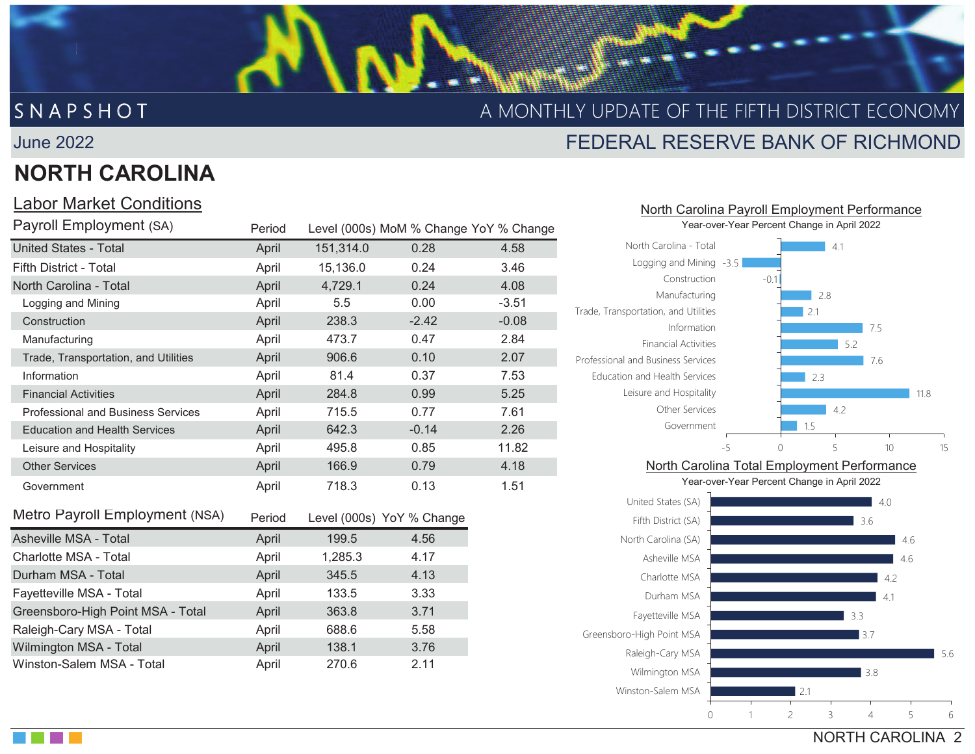# S N A P S H O T

## A MONTHLY UPDATE OF THE FIFTH DISTRICT ECONOMY

#### June 2022

# **NORTH CAROLINA**

INTERNAL FR/OFFICIAL USE // FRS

## Labor Market Conditions

| Payroll Employment (SA)                   | Period |           | Level (000s) MoM % Change YoY % Change |         |
|-------------------------------------------|--------|-----------|----------------------------------------|---------|
| <b>United States - Total</b>              | April  | 151,314.0 | 0.28                                   | 4.58    |
| Fifth District - Total                    | April  | 15,136.0  | 0.24                                   | 3.46    |
| North Carolina - Total                    | April  | 4,729.1   | 0.24                                   | 4.08    |
| Logging and Mining                        | April  | 5.5       | 0.00                                   | $-3.51$ |
| Construction                              | April  | 238.3     | $-2.42$                                | $-0.08$ |
| Manufacturing                             | April  | 473.7     | 0.47                                   | 2.84    |
| Trade, Transportation, and Utilities      | April  | 906.6     | 0.10                                   | 2.07    |
| Information                               | April  | 81.4      | 0.37                                   | 7.53    |
| <b>Financial Activities</b>               | April  | 284.8     | 0.99                                   | 5.25    |
| <b>Professional and Business Services</b> | April  | 715.5     | 0.77                                   | 7.61    |
| <b>Education and Health Services</b>      | April  | 642.3     | $-0.14$                                | 2.26    |
| Leisure and Hospitality                   | April  | 495.8     | 0.85                                   | 11.82   |
| <b>Other Services</b>                     | April  | 166.9     | 0.79                                   | 4.18    |
| Government                                | April  | 718.3     | 0.13                                   | 1.51    |
| Metro Payroll Employment (NSA)            | Period |           | Level (000s) YoY % Change              |         |
| Asheville MSA - Total                     | April  | 199.5     | 4.56                                   |         |
| Charlotte MSA - Total                     | Anril  | 1 285 3   | 4 17                                   |         |

| Charlotte MSA - Total             | April | 1,285.3 | 4.17 |
|-----------------------------------|-------|---------|------|
| Durham MSA - Total                | April | 345.5   | 4.13 |
| Fayetteville MSA - Total          | April | 133.5   | 3.33 |
| Greensboro-High Point MSA - Total | April | 363.8   | 3.71 |
| Raleigh-Cary MSA - Total          | April | 688.6   | 5.58 |
| Wilmington MSA - Total            | April | 138.1   | 3.76 |
| Winston-Salem MSA - Total         | April | 270.6   | 2.11 |

# FEDERAL RESERVE BANK OF RICHMOND

North Carolina Payroll Employment Performance



#### NORTH CAROLINA 2 $\vert$  21 3.85.63.73.34.14.20123456Winston-Salem MSAWilmington MSA Raleigh-Cary MSA Greensboro-High Point MSA Fayetteville MSA Durham MSACharlotte MSA

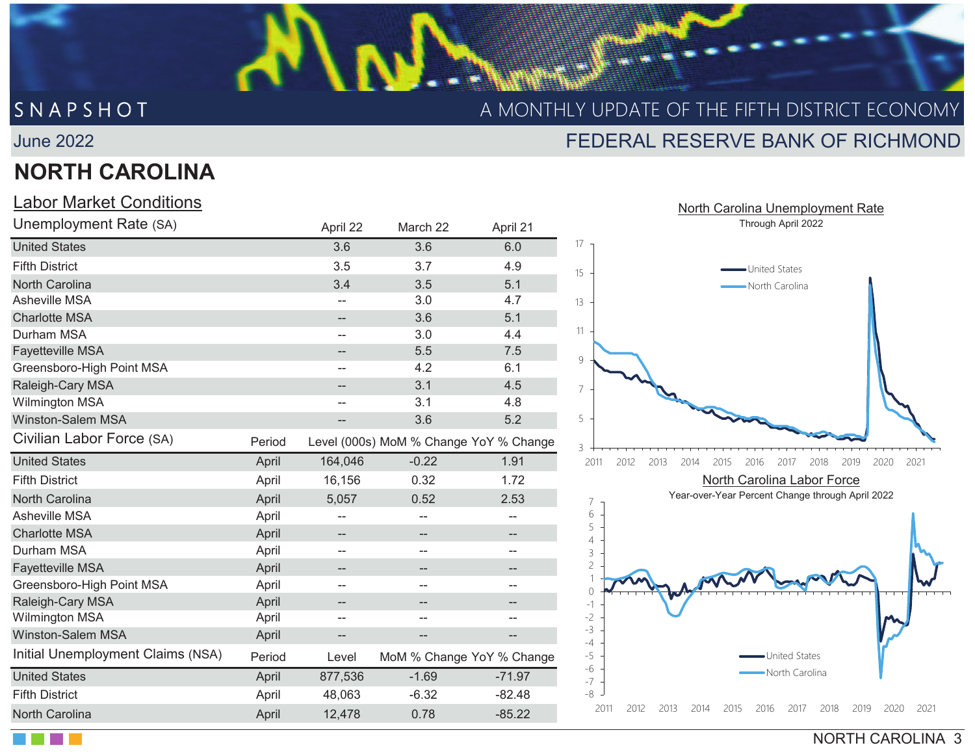June 2022

# **NORTH CAROLINA**

INTERNAL FR/OFFICIAL USE // FRS

FR/OFFICIAL USE //FRSONLY

### Labor Market Conditions

| Unemployment Rate (SA)            |        | April 22                 | March 22                               | April 21                  | Through April 2022                                              |
|-----------------------------------|--------|--------------------------|----------------------------------------|---------------------------|-----------------------------------------------------------------|
| <b>United States</b>              |        | 3.6                      | 3.6                                    | 6.0                       | 17                                                              |
| <b>Fifth District</b>             |        | 3.5                      | 3.7                                    | 4.9                       | United States<br>15                                             |
| <b>North Carolina</b>             |        | 3.4                      | 3.5                                    | 5.1                       | North Carolina                                                  |
| Asheville MSA                     |        | $\overline{\phantom{m}}$ | 3.0                                    | 4.7                       | 13                                                              |
| <b>Charlotte MSA</b>              |        | --                       | 3.6                                    | 5.1                       |                                                                 |
| Durham MSA                        |        | --                       | 3.0                                    | 4.4                       | 11                                                              |
| <b>Fayetteville MSA</b>           |        | --                       | 5.5                                    | 7.5                       | 9                                                               |
| Greensboro-High Point MSA         |        | $-\,$ $-$                | 4.2                                    | 6.1                       |                                                                 |
| Raleigh-Cary MSA                  |        | --                       | 3.1                                    | 4.5                       | $\overline{7}$                                                  |
| <b>Wilmington MSA</b>             |        | --                       | 3.1                                    | 4.8                       |                                                                 |
| <b>Winston-Salem MSA</b>          |        | --                       | 3.6                                    | 5.2                       | 5                                                               |
| Civilian Labor Force (SA)         | Period |                          | Level (000s) MoM % Change YoY % Change |                           | 3                                                               |
| <b>United States</b>              | April  | 164,046                  | $-0.22$                                | 1.91                      | 2011<br>2012<br>2013<br>2014<br>2015<br>2016<br>20 <sup>2</sup> |
| <b>Fifth District</b>             | April  | 16,156                   | 0.32                                   | 1.72                      | North Carolina Labor                                            |
| <b>North Carolina</b>             | April  | 5,057                    | 0.52                                   | 2.53                      | Year-over-Year Percent Change th<br>7                           |
| Asheville MSA                     | April  | --                       | --                                     | --                        | 6                                                               |
| <b>Charlotte MSA</b>              | April  | $\overline{\phantom{a}}$ | $\qquad \qquad -$                      | $-\!$                     | 5<br>4                                                          |
| Durham MSA                        | April  | --                       | --                                     | --                        | 3                                                               |
| <b>Fayetteville MSA</b>           | April  | --                       | $\qquad \qquad -$                      | $\overline{\phantom{a}}$  | $\overline{c}$                                                  |
| Greensboro-High Point MSA         | April  | $\overline{\phantom{m}}$ | $-$                                    | --                        | 0                                                               |
| Raleigh-Cary MSA                  | April  | $-$                      | --                                     |                           |                                                                 |
| <b>Wilmington MSA</b>             | April  | --                       |                                        |                           | $-2$                                                            |
| <b>Winston-Salem MSA</b>          | April  | --                       | $\qquad \qquad -$                      | $\hspace{0.05cm}$         | $-3$<br>$-4$                                                    |
| Initial Unemployment Claims (NSA) | Period | Level                    |                                        | MoM % Change YoY % Change | $-5$<br>United States                                           |
| <b>United States</b>              | April  | 877,536                  | $-1.69$                                | $-71.97$                  | $-6$<br>North Carolin<br>$-7$                                   |
| <b>Fifth District</b>             | April  | 48,063                   | $-6.32$                                | $-82.48$                  | $-8$                                                            |
| North Carolina                    | April  | 12,478                   | 0.78                                   | $-85.22$                  | 2011<br>2012<br>2017<br>2013<br>2014<br>2015<br>2016            |
|                                   |        |                          |                                        |                           |                                                                 |



NORTH CAROLINA 3

# FEDERAL RESERVE BANK OF RICHMONDS N A P S H O T A MONTHLY UPDATE OF THE FIFTH DISTRICT ECONOMY

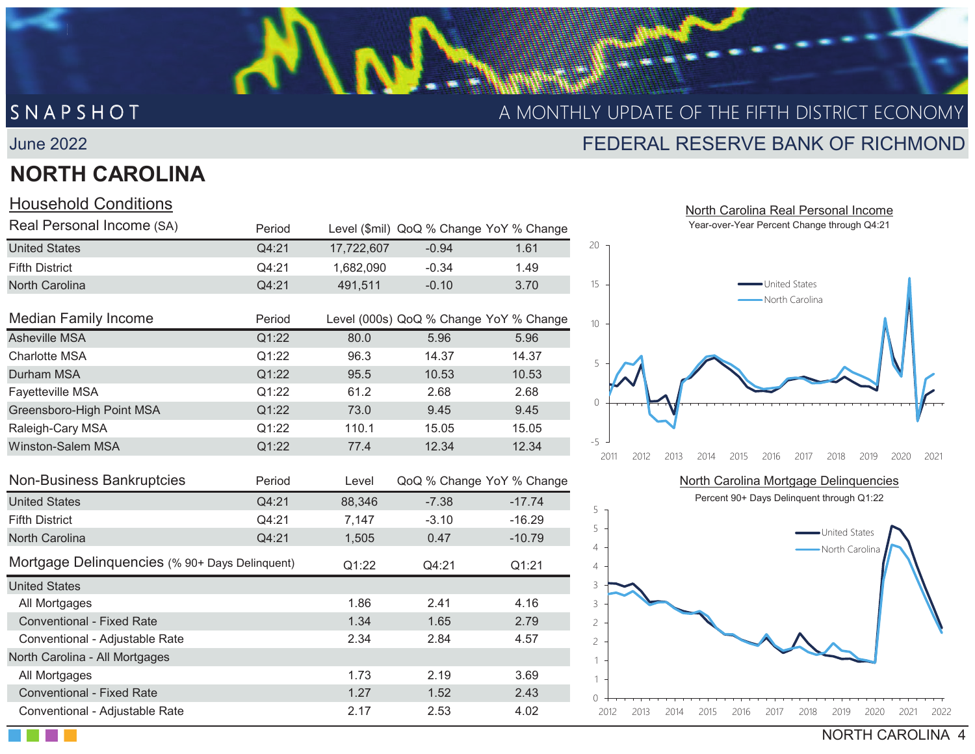#### June 2022

# **NORTH CAROLINA**

INTERNAL FR/OFFICIAL USE // FRSONLY

### Household Conditions

| Real Personal Income (SA)                      | Period |            | Level (\$mil) QoQ % Change YoY % Change |          |
|------------------------------------------------|--------|------------|-----------------------------------------|----------|
| <b>United States</b>                           | Q4:21  | 17,722,607 | $-0.94$                                 | 1.61     |
| <b>Fifth District</b>                          | Q4:21  | 1,682,090  | $-0.34$                                 | 1.49     |
| North Carolina                                 | Q4:21  | 491,511    | $-0.10$                                 | 3.70     |
| <b>Median Family Income</b>                    | Period |            | Level (000s) QoQ % Change YoY % Change  |          |
| <b>Asheville MSA</b>                           | Q1:22  | 80.0       | 5.96                                    | 5.96     |
| <b>Charlotte MSA</b>                           | Q1:22  | 96.3       | 14.37                                   | 14.37    |
| Durham MSA                                     | Q1:22  | 95.5       | 10.53                                   | 10.53    |
| <b>Fayetteville MSA</b>                        | Q1:22  | 61.2       | 2.68                                    | 2.68     |
| Greensboro-High Point MSA                      | Q1:22  | 73.0       | 9.45                                    | 9.45     |
| Raleigh-Cary MSA                               | Q1:22  | 110.1      | 15.05                                   | 15.05    |
| <b>Winston-Salem MSA</b>                       | Q1:22  | 77.4       | 12.34                                   | 12.34    |
| Non-Business Bankruptcies                      | Period | Level      | QoQ % Change YoY % Change               |          |
| <b>United States</b>                           | Q4:21  | 88,346     | $-7.38$                                 | $-17.74$ |
| <b>Fifth District</b>                          | Q4:21  | 7,147      | $-3.10$                                 | $-16.29$ |
| North Carolina                                 | Q4:21  | 1,505      | 0.47                                    | $-10.79$ |
| Mortgage Delinquencies (% 90+ Days Delinquent) |        | Q1:22      | Q4:21                                   | Q1:21    |
| <b>United States</b>                           |        |            |                                         |          |
| All Mortgages                                  |        | 1.86       | 2.41                                    | 4.16     |
| <b>Conventional - Fixed Rate</b>               |        | 1.34       | 1.65                                    | 2.79     |
| Conventional - Adjustable Rate                 |        | 2.34       | 2.84                                    | 4.57     |
| North Carolina - All Mortgages                 |        |            |                                         |          |
| All Mortgages                                  |        | 1.73       | 2.19                                    | 3.69     |

**Conventional - Fixed Rate** 1.27 1.52 2.43 Conventional - Adjustable Rate 2.17 2.53 4.02

## S N A P S H O T A MONTHLY UPDATE OF THE FIFTH DISTRICT ECONOMY

## FEDERAL RESERVE BANK OF RICHMOND

 North Carolina Real Personal IncomeYear-over-Year Percent Change through Q4:21



North Carolina Mortgage Delinquencies

Percent 90+ Days Delinquent through Q1:22



NORTH CAROLINA 4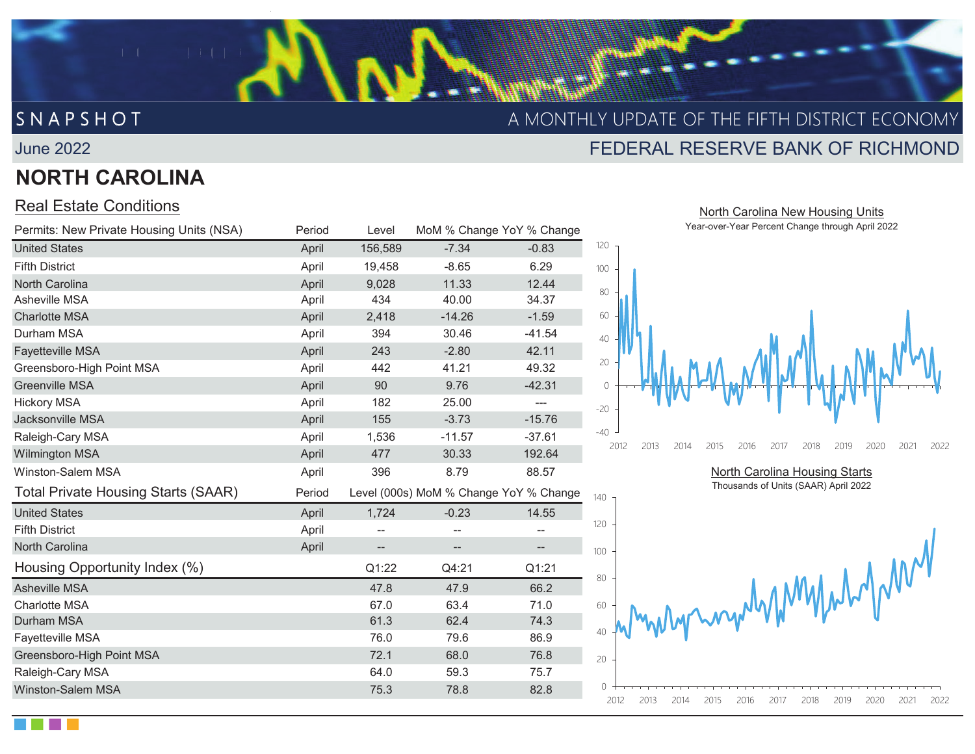## S N A P S H O T A MONTHLY UPDATE OF THE FIFTH DISTRICT ECONOMY

#### June 2022

## **NORTH CAROLINA**

INTERNAL FR/OFFICIAL USE // FRSONLY

### Real Estate Conditions

| Permits: New Private Housing Units (NSA)   | Period | Level                    |                                        | MoM % Change YoY % Change | Year-over-Year Percent Change through Apr                    |
|--------------------------------------------|--------|--------------------------|----------------------------------------|---------------------------|--------------------------------------------------------------|
| <b>United States</b>                       | April  | 156,589                  | $-7.34$                                | $-0.83$                   | 120                                                          |
| <b>Fifth District</b>                      | April  | 19,458                   | $-8.65$                                | 6.29                      | 100                                                          |
| North Carolina                             | April  | 9,028                    | 11.33                                  | 12.44                     | 80                                                           |
| <b>Asheville MSA</b>                       | April  | 434                      | 40.00                                  | 34.37                     |                                                              |
| <b>Charlotte MSA</b>                       | April  | 2,418                    | $-14.26$                               | $-1.59$                   | 60                                                           |
| Durham MSA                                 | April  | 394                      | 30.46                                  | $-41.54$                  | 40                                                           |
| Fayetteville MSA                           | April  | 243                      | $-2.80$                                | 42.11                     |                                                              |
| Greensboro-High Point MSA                  | April  | 442                      | 41.21                                  | 49.32                     | 20                                                           |
| <b>Greenville MSA</b>                      | April  | 90                       | 9.76                                   | $-42.31$                  | $\bigcirc$                                                   |
| <b>Hickory MSA</b>                         | April  | 182                      | 25.00                                  | ---                       | $-20$                                                        |
| Jacksonville MSA                           | April  | 155                      | $-3.73$                                | $-15.76$                  |                                                              |
| Raleigh-Cary MSA                           | April  | 1,536                    | $-11.57$                               | $-37.61$                  | $-40$                                                        |
| <b>Wilmington MSA</b>                      | April  | 477                      | 30.33                                  | 192.64                    | 2012<br>2013<br>2014<br>2015<br>2017<br>2018<br>2019<br>2016 |
| Winston-Salem MSA                          | April  | 396                      | 8.79                                   | 88.57                     | North Carolina Housing Starts                                |
| <b>Total Private Housing Starts (SAAR)</b> | Period |                          | Level (000s) MoM % Change YoY % Change |                           | Thousands of Units (SAAR) April 2022<br>140                  |
| <b>United States</b>                       | April  | 1,724                    | $-0.23$                                | 14.55                     |                                                              |
| <b>Fifth District</b>                      | April  | --                       | $\overline{\phantom{m}}$               | --                        | 120                                                          |
| North Carolina                             | April  | $\overline{\phantom{m}}$ | $--$                                   | $-\hbox{--}$              | 100                                                          |
| Housing Opportunity Index (%)              |        | Q1:22                    | Q4:21                                  | Q1:21                     |                                                              |
| <b>Asheville MSA</b>                       |        | 47.8                     | 47.9                                   | 66.2                      | monographymyme<br>80                                         |
| <b>Charlotte MSA</b>                       |        | 67.0                     | 63.4                                   | 71.0                      | 60                                                           |
| Durham MSA                                 |        | 61.3                     | 62.4                                   | 74.3                      |                                                              |
| <b>Fayetteville MSA</b>                    |        | 76.0                     | 79.6                                   | 86.9                      |                                                              |
| Greensboro-High Point MSA                  |        | 72.1                     | 68.0                                   | 76.8                      | 20                                                           |
| Raleigh-Cary MSA                           |        | 64.0                     | 59.3                                   | 75.7                      |                                                              |
| <b>Winston-Salem MSA</b>                   |        | 75.3                     | 78.8                                   | 82.8                      | 2012<br>2013<br>2014<br>2015<br>2016<br>2017<br>2018<br>2019 |

 North Carolina New Housing Units Year-over-Year Percent Change through April 2022

FEDERAL RESERVE BANK OF RICHMOND